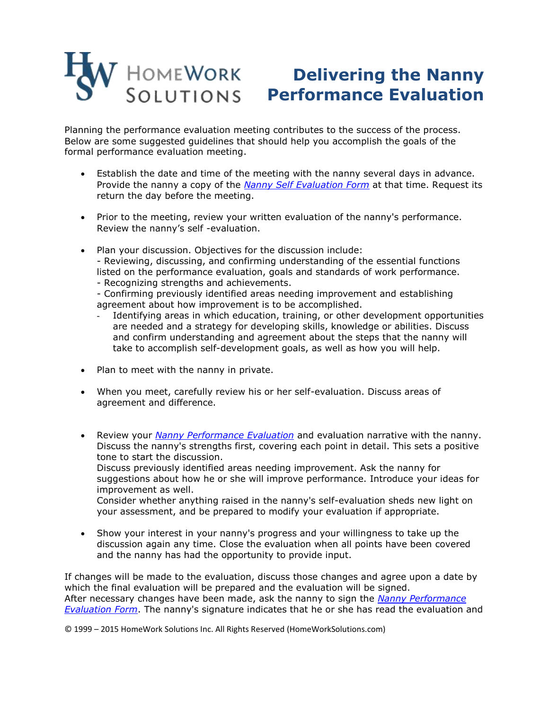## **Delivering the Nanny Performance Evaluation**

Planning the performance evaluation meeting contributes to the success of the process. Below are some suggested guidelines that should help you accomplish the goals of the formal performance evaluation meeting.

- Establish the date and time of the meeting with the nanny several days in advance. Provide the nanny a copy of the *[Nanny Self Evaluation Form](http://cdn2.hubspot.net/hubfs/54123/docs/NANNY_SELF_EVALUATION.pdf)* at that time. Request its return the day before the meeting.
- Prior to the meeting, review your written evaluation of the nanny's performance. Review the nanny's self -evaluation.
- Plan your discussion. Objectives for the discussion include: - Reviewing, discussing, and confirming understanding of the essential functions listed on the performance evaluation, goals and standards of work performance. - Recognizing strengths and achievements.
	- Confirming previously identified areas needing improvement and establishing agreement about how improvement is to be accomplished.
	- Identifying areas in which education, training, or other development opportunities are needed and a strategy for developing skills, knowledge or abilities. Discuss and confirm understanding and agreement about the steps that the nanny will take to accomplish self-development goals, as well as how you will help.
- Plan to meet with the nanny in private.
- When you meet, carefully review his or her self-evaluation. Discuss areas of agreement and difference.
- Review your *[Nanny Performance Evaluation](http://cdn2.hubspot.net/hubfs/54123/docs/Nanny_Performance_Evaluation_Form.pdf)* and evaluation narrative with the nanny. Discuss the nanny's strengths first, covering each point in detail. This sets a positive tone to start the discussion.

Discuss previously identified areas needing improvement. Ask the nanny for suggestions about how he or she will improve performance. Introduce your ideas for improvement as well.

Consider whether anything raised in the nanny's self-evaluation sheds new light on your assessment, and be prepared to modify your evaluation if appropriate.

 Show your interest in your nanny's progress and your willingness to take up the discussion again any time. Close the evaluation when all points have been covered and the nanny has had the opportunity to provide input.

If changes will be made to the evaluation, discuss those changes and agree upon a date by which the final evaluation will be prepared and the evaluation will be signed. After necessary changes have been made, ask the nanny to sign the *[Nanny Performance](http://cdn2.hubspot.net/hubfs/54123/docs/Nanny_Performance_Evaluation_Form.pdf)  [Evaluation Form](http://cdn2.hubspot.net/hubfs/54123/docs/Nanny_Performance_Evaluation_Form.pdf)*. The nanny's signature indicates that he or she has read the evaluation and

© 1999 – 2015 HomeWork Solutions Inc. All Rights Reserved (HomeWorkSolutions.com)